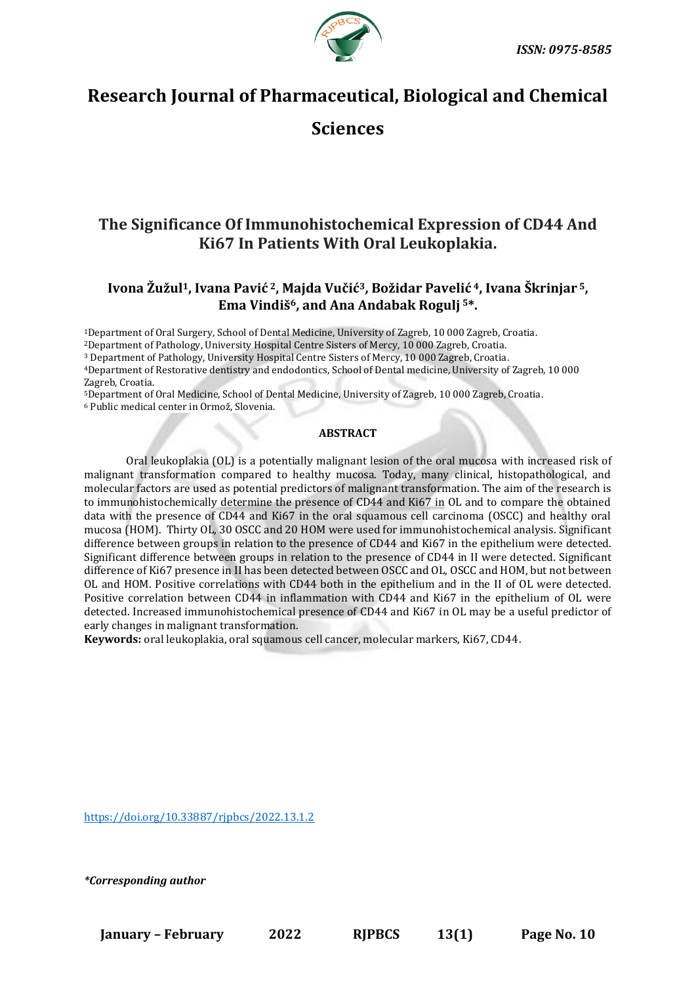

# **Research Journal of Pharmaceutical, Biological and Chemical**

## **Sciences**

## **The Significance Of Immunohistochemical Expression of CD44 And Ki67 In Patients With Oral Leukoplakia.**

## **Ivona Žužul1, Ivana Pavić <sup>2</sup>, Majda Vučić3, Božidar Pavelić <sup>4</sup>, Ivana Škrinjar <sup>5</sup>, Ema Vindiš6, and Ana Andabak Rogulj <sup>5</sup>\*.**

<sup>1</sup>Department of Oral Surgery, School of Dental Medicine, University of Zagreb, 10 000 Zagreb, Croatia.

<sup>2</sup>Department of Pathology, University Hospital Centre Sisters of Mercy, 10 000 Zagreb, Croatia.

<sup>3</sup> Department of Pathology, University Hospital Centre Sisters of Mercy, 10 000 Zagreb, Croatia.

<sup>4</sup>Department of Restorative dentistry and endodontics, School of Dental medicine, University of Zagreb, 10 000 Zagreb, Croatia.

<sup>5</sup>Department of Oral Medicine, School of Dental Medicine, University of Zagreb, 10 000 Zagreb, Croatia. <sup>6</sup> Public medical center in Ormož, Slovenia.

## **ABSTRACT**

Oral leukoplakia (OL) is a potentially malignant lesion of the oral mucosa with increased risk of malignant transformation compared to healthy mucosa. Today, many clinical, histopathological, and molecular factors are used as potential predictors of malignant transformation. The aim of the research is to immunohistochemically determine the presence of CD44 and Ki67 in OL and to compare the obtained data with the presence of CD44 and Ki67 in the oral squamous cell carcinoma (OSCC) and healthy oral mucosa (HOM). Thirty OL, 30 OSCC and 20 HOM were used for immunohistochemical analysis. Significant difference between groups in relation to the presence of CD44 and Ki67 in the epithelium were detected. Significant difference between groups in relation to the presence of CD44 in II were detected. Significant difference of Ki67 presence in II has been detected between OSCC and OL, OSCC and HOM, but not between OL and HOM. Positive correlations with CD44 both in the epithelium and in the II of OL were detected. Positive correlation between CD44 in inflammation with CD44 and Ki67 in the epithelium of OL were detected. Increased immunohistochemical presence of CD44 and Ki67 in OL may be a useful predictor of early changes in malignant transformation.

**Keywords:** oral leukoplakia, oral squamous cell cancer, molecular markers, Ki67, CD44.

[https://doi.org/10.33887/rjpbcs/2022.13.1.2](https://doi.org/10.33887/rjpbcs/2022.13.1.1)

*\*Corresponding author*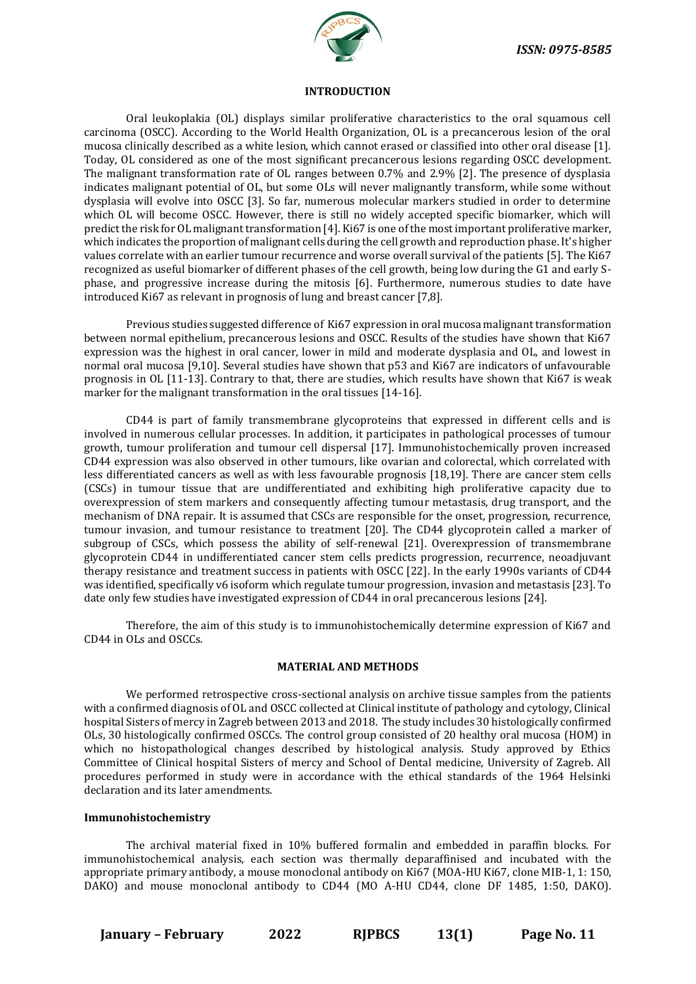

#### **INTRODUCTION**

Oral leukoplakia (OL) displays similar proliferative characteristics to the oral squamous cell carcinoma (OSCC). According to the World Health Organization, OL is a precancerous lesion of the oral mucosa clinically described as a white lesion, which cannot erased or classified into other oral disease [1]. Today, OL considered as one of the most significant precancerous lesions regarding OSCC development. The malignant transformation rate of OL ranges between 0.7% and 2.9% [2]. The presence of dysplasia indicates malignant potential of OL, but some OLs will never malignantly transform, while some without dysplasia will evolve into OSCC [3]. So far, numerous molecular markers studied in order to determine which OL will become OSCC. However, there is still no widely accepted specific biomarker, which will predict the risk for OL malignant transformation [4]. Ki67 is one of the most important proliferative marker, which indicates the proportion of malignant cells during the cell growth and reproduction phase. It's higher values correlate with an earlier tumour recurrence and worse overall survival of the patients [5]. The Ki67 recognized as useful biomarker of different phases of the cell growth, being low during the G1 and early Sphase, and progressive increase during the mitosis [6]. Furthermore, numerous studies to date have introduced Ki67 as relevant in prognosis of lung and breast cancer [7,8].

Previous studies suggested difference of Ki67 expression in oral mucosa malignant transformation between normal epithelium, precancerous lesions and OSCC. Results of the studies have shown that Ki67 expression was the highest in oral cancer, lower in mild and moderate dysplasia and OL, and lowest in normal oral mucosa [9,10]. Several studies have shown that p53 and Ki67 are indicators of unfavourable prognosis in OL [11-13]. Contrary to that, there are studies, which results have shown that Ki67 is weak marker for the malignant transformation in the oral tissues [14-16].

CD44 is part of family transmembrane glycoproteins that expressed in different cells and is involved in numerous cellular processes. In addition, it participates in pathological processes of tumour growth, tumour proliferation and tumour cell dispersal [17]. Immunohistochemically proven increased CD44 expression was also observed in other tumours, like ovarian and colorectal, which correlated with less differentiated cancers as well as with less favourable prognosis [18,19]. There are cancer stem cells (CSCs) in tumour tissue that are undifferentiated and exhibiting high proliferative capacity due to overexpression of stem markers and consequently affecting tumour metastasis, drug transport, and the mechanism of DNA repair. It is assumed that CSCs are responsible for the onset, progression, recurrence, tumour invasion, and tumour resistance to treatment [20]. The CD44 glycoprotein called a marker of subgroup of CSCs, which possess the ability of self-renewal [21]. Overexpression of transmembrane glycoprotein CD44 in undifferentiated cancer stem cells predicts progression, recurrence, neoadjuvant therapy resistance and treatment success in patients with OSCC [22]. In the early 1990s variants of CD44 was identified, specifically v6 isoform which regulate tumour progression, invasion and metastasis [23]. To date only few studies have investigated expression of CD44 in oral precancerous lesions [24].

Therefore, the aim of this study is to immunohistochemically determine expression of Ki67 and CD44 in OLs and OSCCs.

### **MATERIAL AND METHODS**

We performed retrospective cross-sectional analysis on archive tissue samples from the patients with a confirmed diagnosis of OL and OSCC collected at Clinical institute of pathology and cytology, Clinical hospital Sisters of mercy in Zagreb between 2013 and 2018. The study includes 30 histologically confirmed OLs, 30 histologically confirmed OSCCs. The control group consisted of 20 healthy oral mucosa (HOM) in which no histopathological changes described by histological analysis. Study approved by Ethics Committee of Clinical hospital Sisters of mercy and School of Dental medicine, University of Zagreb. All procedures performed in study were in accordance with the ethical standards of the 1964 Helsinki declaration and its later amendments.

#### **Immunohistochemistry**

The archival material fixed in 10% buffered formalin and embedded in paraffin blocks. For immunohistochemical analysis, each section was thermally deparaffinised and incubated with the appropriate primary antibody, a mouse monoclonal antibody on Ki67 (MOA-HU Ki67, clone MIB-1, 1: 150, DAKO) and mouse monoclonal antibody to CD44 (MO A-HU CD44, clone DF 1485, 1:50, DAKO).

**January – February 2022 RJPBCS 13(1) Page No. 11**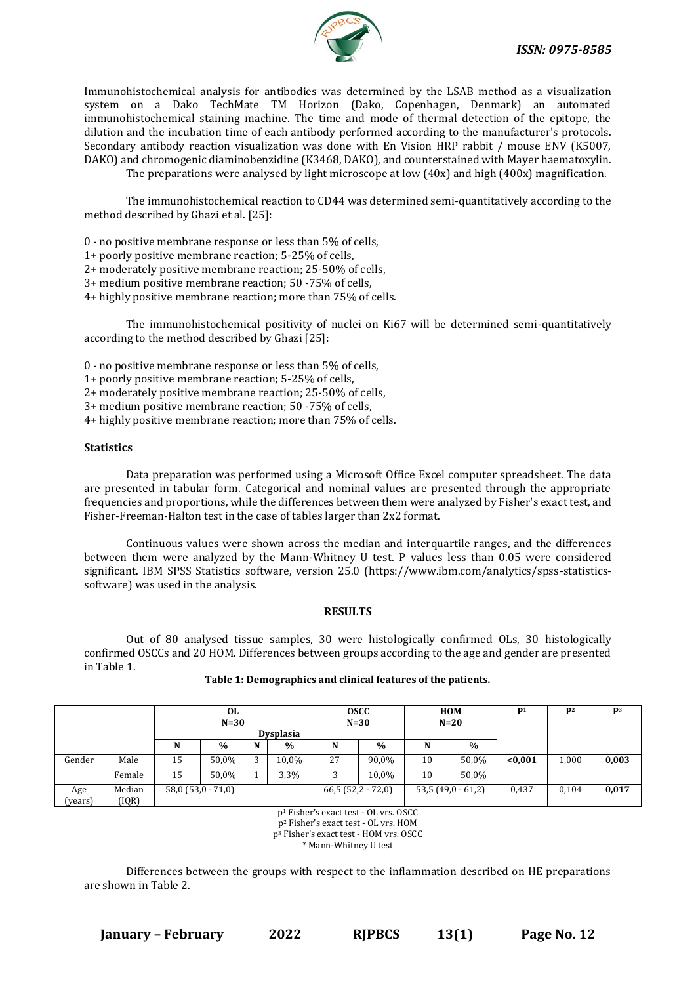

Immunohistochemical analysis for antibodies was determined by the LSAB method as a visualization system on a Dako TechMate TM Horizon (Dako, Copenhagen, Denmark) an automated immunohistochemical staining machine. The time and mode of thermal detection of the epitope, the dilution and the incubation time of each antibody performed according to the manufacturer's protocols. Secondary antibody reaction visualization was done with En Vision HRP rabbit / mouse ENV (K5007, DAKO) and chromogenic diaminobenzidine (K3468, DAKO), and counterstained with Mayer haematoxylin. The preparations were analysed by light microscope at low (40x) and high (400x) magnification.

The immunohistochemical reaction to CD44 was determined semi-quantitatively according to the method described by Ghazi et al. [25]:

0 - no positive membrane response or less than 5% of cells,

1+ poorly positive membrane reaction; 5-25% of cells,

2+ moderately positive membrane reaction; 25-50% of cells,

3+ medium positive membrane reaction; 50 -75% of cells,

4+ highly positive membrane reaction; more than 75% of cells.

The immunohistochemical positivity of nuclei on Ki67 will be determined semi-quantitatively according to the method described by Ghazi [25]:

0 - no positive membrane response or less than 5% of cells,

1+ poorly positive membrane reaction; 5-25% of cells,

2+ moderately positive membrane reaction; 25-50% of cells,

3+ medium positive membrane reaction; 50 -75% of cells,

4+ highly positive membrane reaction; more than 75% of cells.

#### **Statistics**

Data preparation was performed using a Microsoft Office Excel computer spreadsheet. The data are presented in tabular form. Categorical and nominal values are presented through the appropriate frequencies and proportions, while the differences between them were analyzed by Fisher's exact test, and Fisher-Freeman-Halton test in the case of tables larger than 2x2 format.

Continuous values were shown across the median and interquartile ranges, and the differences between them were analyzed by the Mann-Whitney U test. P values less than 0.05 were considered significant. IBM SPSS Statistics software, version 25.0 (https://www.ibm.com/analytics/spss-statisticssoftware) was used in the analysis.

#### **RESULTS**

Out of 80 analysed tissue samples, 30 were histologically confirmed OLs, 30 histologically confirmed OSCCs and 20 HOM. Differences between groups according to the age and gender are presented in Table 1.

|                | 0L<br>$N=30$    |    |                   |                  | <b>OSCC</b><br>$N=30$ |                   | <b>HOM</b><br>$N=20$ |                   | P <sub>1</sub> | $\mathbf{p}_2$ | P <sup>3</sup> |       |
|----------------|-----------------|----|-------------------|------------------|-----------------------|-------------------|----------------------|-------------------|----------------|----------------|----------------|-------|
|                |                 |    |                   | <b>Dysplasia</b> |                       |                   |                      |                   |                |                |                |       |
|                |                 |    | $\frac{0}{0}$     | N                | $\%$                  | N                 | $\frac{0}{0}$        | N                 | $\frac{0}{0}$  |                |                |       |
| Gender         | Male            | 15 | 50,0%             | 3                | 10,0%                 | 27                | 90,0%                | 10                | 50,0%          | < 0.001        | 1,000          | 0,003 |
|                | Female          | 15 | 50,0%             |                  | 3,3%                  |                   | 10,0%                | 10                | 50,0%          |                |                |       |
| Age<br>(years) | Median<br>(IQR) |    | $58,0(53,0-71,0)$ |                  |                       | $66,5(52,2-72,0)$ |                      | $53,5(49,0-61,2)$ |                | 0,437          | 0.104          | 0,017 |

#### **Table 1: Demographics and clinical features of the patients.**

p<sup>1</sup> Fisher's exact test - OL vrs. OSCC p<sup>2</sup> Fisher's exact test - OL vrs. HOM p<sup>3</sup> Fisher's exact test - HOM vrs. OSCC \* Mann-Whitney U test

Differences between the groups with respect to the inflammation described on HE preparations are shown in Table 2.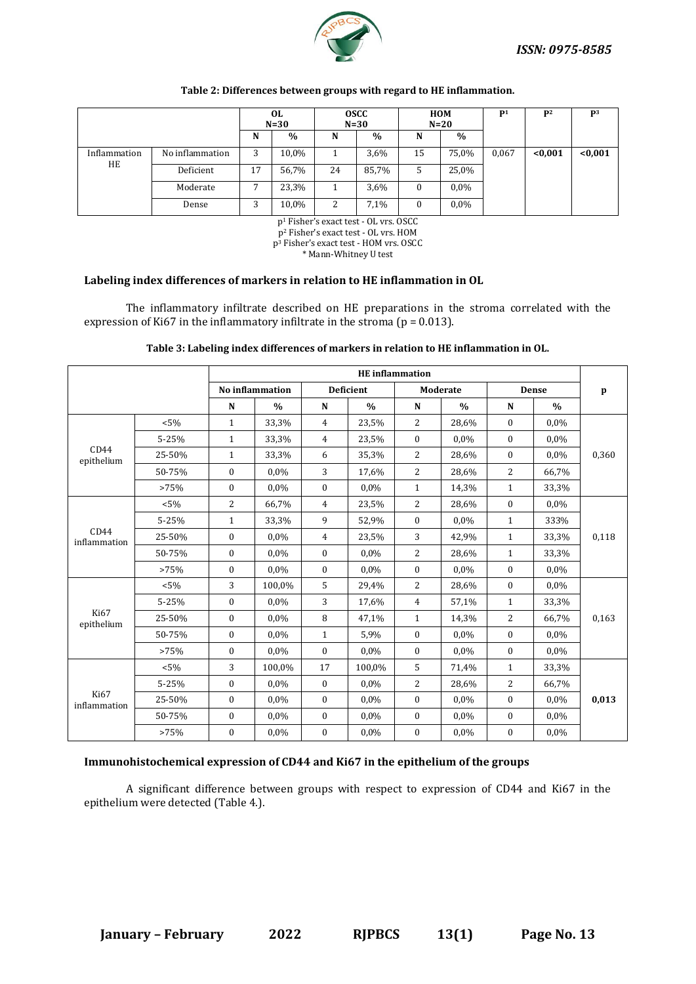

|              | OL.<br>$N=30$   |    | <b>OSCC</b><br>$N=30$ |    | <b>HOM</b><br>$N=20$ |    | $\mathbf{D}$  | $\mathbf{D}^2$ | P <sup>3</sup> |         |
|--------------|-----------------|----|-----------------------|----|----------------------|----|---------------|----------------|----------------|---------|
|              |                 | N  | $\%$                  | N  | $\frac{0}{0}$        | N  | $\frac{0}{0}$ |                |                |         |
| Inflammation | No inflammation | 3  | 10,0%                 |    | 3,6%                 | 15 | 75,0%         | 0,067          | < 0.001        | < 0,001 |
| HE           | Deficient       | 17 | 56,7%                 | 24 | 85,7%                | 5  | 25,0%         |                |                |         |
|              | Moderate        | ⇁  | 23,3%                 |    | 3,6%                 | 0  | $0.0\%$       |                |                |         |
|              | Dense           | 3  | 10,0%                 | 2  | 7,1%                 | 0  | $0.0\%$       |                |                |         |

#### **Table 2: Differences between groups with regard to HE inflammation.**

p<sup>1</sup> Fisher's exact test - OL vrs. OSCC

p<sup>2</sup> Fisher's exact test - OL vrs. HOM p<sup>3</sup> Fisher's exact test - HOM vrs. OSCC

\* Mann-Whitney U test

### **Labeling index differences of markers in relation to HE inflammation in OL**

The inflammatory infiltrate described on HE preparations in the stroma correlated with the expression of Ki67 in the inflammatory infiltrate in the stroma ( $p = 0.013$ ).

|                             |         | <b>HE</b> inflammation |                 |                |                  |                  |               |                |              |              |  |  |
|-----------------------------|---------|------------------------|-----------------|----------------|------------------|------------------|---------------|----------------|--------------|--------------|--|--|
|                             |         |                        | No inflammation |                | <b>Deficient</b> |                  | Moderate      |                | <b>Dense</b> | $\mathbf{p}$ |  |  |
|                             |         | $\mathbf N$            | $\frac{0}{0}$   | ${\bf N}$      | $\%$             | N                | $\frac{0}{0}$ | ${\bf N}$      | $\%$         |              |  |  |
|                             | $< 5\%$ | $\mathbf{1}$           | 33,3%           | $\overline{4}$ | 23,5%            | 2                | 28,6%         | $\mathbf{0}$   | 0,0%         |              |  |  |
|                             | 5-25%   | $\mathbf{1}$           | 33,3%           | $\overline{4}$ | 23,5%            | $\mathbf{0}$     | 0,0%          | $\mathbf{0}$   | 0,0%         |              |  |  |
| CD44<br>epithelium          | 25-50%  | $\mathbf{1}$           | 33,3%           | 6              | 35,3%            | 2                | 28,6%         | $\mathbf{0}$   | 0,0%         | 0,360        |  |  |
|                             | 50-75%  | $\bf{0}$               | 0,0%            | 3              | 17,6%            | 2                | 28,6%         | $\overline{2}$ | 66,7%        |              |  |  |
|                             | >75%    | $\mathbf{0}$           | 0.0%            | $\bf{0}$       | 0.0%             | $\mathbf{1}$     | 14,3%         | $\mathbf{1}$   | 33,3%        |              |  |  |
|                             | $< 5\%$ | $\overline{2}$         | 66,7%           | $\overline{4}$ | 23,5%            | 2                | 28,6%         | $\theta$       | 0,0%         |              |  |  |
|                             | 5-25%   | $\mathbf{1}$           | 33,3%           | 9              | 52,9%            | $\mathbf{0}$     | 0,0%          | $\mathbf{1}$   | 333%         | 0,118        |  |  |
| CD44<br>inflammation        | 25-50%  | $\bf{0}$               | 0.0%            | 4              | 23,5%            | 3                | 42,9%         | $\mathbf{1}$   | 33,3%        |              |  |  |
|                             | 50-75%  | $\bf{0}$               | 0.0%            | $\mathbf{0}$   | 0.0%             | $\overline{2}$   | 28,6%         | $\mathbf{1}$   | 33,3%        |              |  |  |
|                             | >75%    | $\mathbf{0}$           | 0,0%            | $\bf{0}$       | 0,0%             | $\mathbf{0}$     | 0,0%          | $\mathbf{0}$   | 0,0%         |              |  |  |
|                             | $< 5\%$ | 3                      | 100,0%          | 5              | 29,4%            | $\overline{2}$   | 28,6%         | $\mathbf{0}$   | $0.0\%$      |              |  |  |
|                             | 5-25%   | $\bf{0}$               | $0.0\%$         | 3              | 17,6%            | $\overline{4}$   | 57,1%         | $\mathbf{1}$   | 33,3%        |              |  |  |
| <b>Ki67</b><br>epithelium   | 25-50%  | $\bf{0}$               | 0.0%            | 8              | 47,1%            | $\mathbf{1}$     | 14,3%         | $\overline{2}$ | 66,7%        | 0,163        |  |  |
|                             | 50-75%  | $\mathbf{0}$           | 0,0%            | $\mathbf{1}$   | 5,9%             | $\mathbf{0}$     | 0,0%          | $\mathbf{0}$   | 0,0%         |              |  |  |
|                             | >75%    | $\mathbf{0}$           | 0.0%            | $\mathbf{0}$   | 0.0%             | $\theta$         | 0,0%          | $\mathbf{0}$   | 0,0%         |              |  |  |
|                             | $< 5\%$ | 3                      | 100,0%          | 17             | 100,0%           | 5                | 71,4%         | $\mathbf{1}$   | 33,3%        |              |  |  |
|                             | 5-25%   | $\bf{0}$               | 0,0%            | $\mathbf{0}$   | $0.0\%$          | 2                | 28,6%         | $\overline{2}$ | 66,7%        |              |  |  |
| <b>Ki67</b><br>inflammation | 25-50%  | $\mathbf{0}$           | 0.0%            | $\bf{0}$       | 0.0%             | $\mathbf{0}$     | 0,0%          | $\mathbf{0}$   | 0,0%         | 0,013        |  |  |
|                             | 50-75%  | $\mathbf{0}$           | 0.0%            | $\mathbf{0}$   | 0.0%             | $\mathbf{0}$     | 0,0%          | $\mathbf{0}$   | $0.0\%$      |              |  |  |
|                             | >75%    | $\bf{0}$               | 0,0%            | $\bf{0}$       | 0,0%             | $\boldsymbol{0}$ | 0,0%          | 0              | 0,0%         |              |  |  |

**Table 3: Labeling index differences of markers in relation to HE inflammation in OL.**

## **Immunohistochemical expression of CD44 and Ki67 in the epithelium of the groups**

A significant difference between groups with respect to expression of CD44 and Ki67 in the epithelium were detected (Table 4.).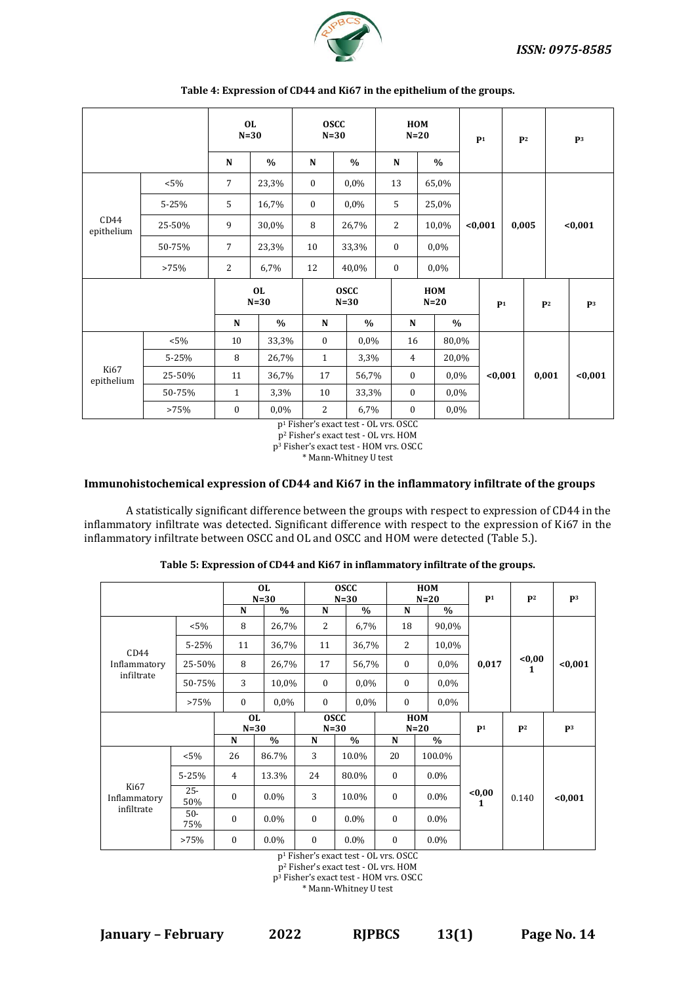

|                    |         | <b>OL</b><br>$N=30$ |               | <b>OSCC</b><br>$N=30$ |               | HOM<br>$N=20$  |                |                | P <sup>1</sup> |         | P <sup>2</sup> |                | P <sup>3</sup> |         |
|--------------------|---------|---------------------|---------------|-----------------------|---------------|----------------|----------------|----------------|----------------|---------|----------------|----------------|----------------|---------|
|                    |         | N                   | $\%$          | ${\bf N}$             | $\frac{0}{0}$ | ${\bf N}$      |                | $\%$           |                |         |                |                |                |         |
|                    | $< 5\%$ | 7<br>23,3%          |               | $\boldsymbol{0}$      | 0,0%          | 13             |                | 65,0%          |                |         |                |                |                |         |
| CD44<br>epithelium | 5-25%   | 5                   | 16,7%         | $\bf{0}$              | 0,0%          | 5              |                | 25,0%          |                |         |                |                |                |         |
|                    | 25-50%  | 9                   | 30,0%         | 8                     | 26,7%         | $\overline{2}$ |                | 10,0%          |                | $0,001$ |                | 0,005          |                | $0,001$ |
|                    | 50-75%  | $\overline{7}$      | 23,3%         | 10                    | 33,3%         | $\bf{0}$       |                | 0,0%           |                |         |                |                |                |         |
|                    | >75%    | 2                   | 6,7%          | 12                    | 40,0%         | $\bf{0}$       |                | 0,0%           |                |         |                |                |                |         |
|                    |         | <b>OL</b><br>$N=30$ |               | <b>OSCC</b><br>$N=30$ |               | HOM<br>$N=20$  |                | P <sup>1</sup> |                |         |                | P <sup>2</sup> | P <sup>3</sup> |         |
|                    |         | $\mathbf N$         | $\frac{0}{0}$ | ${\bf N}$             | $\frac{0}{0}$ |                | ${\bf N}$      | $\%$           |                |         |                |                |                |         |
|                    | $< 5\%$ | 10                  | 33,3%         | $\bf{0}$              | 0,0%          |                | 16             | 80,0%          |                |         |                |                |                |         |
| Ki67<br>epithelium | 5-25%   | 8                   | 26,7%         | $\mathbf{1}$          | 3,3%          |                | $\overline{4}$ | 20,0%          |                |         |                |                |                |         |
|                    | 25-50%  | 11                  | 36,7%         | 17                    | 56,7%         |                | $\bf{0}$       |                | $0.0\%$        |         | < 0.001        |                | 0,001          | < 0.001 |
|                    | 50-75%  | $\mathbf{1}$        | 3,3%          | 10                    | 33,3%         |                | $\bf{0}$       | 0,0%           |                |         |                |                |                |         |
|                    | >75%    | $\boldsymbol{0}$    | 0,0%          | $\overline{c}$        | 6,7%          |                | $\bf{0}$       | 0,0%           |                |         |                |                |                |         |

#### **Table 4: Expression of CD44 and Ki67 in the epithelium of the groups.**

p<sup>1</sup> Fisher's exact test - OL vrs. OSCC

p<sup>2</sup> Fisher's exact test - OL vrs. HOM p<sup>3</sup> Fisher's exact test - HOM vrs. OSCC

\* Mann-Whitney U test

## **Immunohistochemical expression of CD44 and Ki67 in the inflammatory infiltrate of the groups**

A statistically significant difference between the groups with respect to expression of CD44 in the inflammatory infiltrate was detected. Significant difference with respect to the expression of Ki67 in the inflammatory infiltrate between OSCC and OL and OSCC and HOM were detected (Table 5.).

|                                    |               |                | <b>OL</b><br>$N=30$ |                  | <b>OSCC</b><br>$N=30$ |                  | HOM<br>$N=20$ | P <sub>1</sub>         | P <sub>2</sub> | P <sub>3</sub> |
|------------------------------------|---------------|----------------|---------------------|------------------|-----------------------|------------------|---------------|------------------------|----------------|----------------|
|                                    |               | N              | $\%$                | N                | $\%$                  | N                | $\%$          |                        |                |                |
|                                    | $< 5\%$       | 8              | 26,7%               | $\overline{2}$   | 6,7%                  | 18               | 90,0%         |                        |                |                |
| CD44                               | 5-25%         | 11             | 36,7%               | 11               | 36,7%                 | 2                | 10,0%         |                        |                |                |
| Inflammatory                       | 25-50%        | 8              | 26,7%               | 17               | 56,7%                 | $\mathbf{0}$     | $0.0\%$       | 0,017                  | $0,00$<br>1    | < 0.001        |
| infiltrate                         | 50-75%        | 3              | 10,0%               | $\mathbf{0}$     | 0,0%                  | $\boldsymbol{0}$ | 0,0%          |                        |                |                |
|                                    | >75%          | $\mathbf{0}$   | $0.0\%$             | $\mathbf{0}$     | $0.0\%$               | $\mathbf{0}$     | $0.0\%$       |                        |                |                |
|                                    |               | <b>OL</b>      |                     |                  | <b>OSCC</b>           |                  | <b>HOM</b>    |                        |                |                |
|                                    |               | $N=30$         |                     |                  | $N=30$                |                  | $N=20$        | P <sub>1</sub>         | P <sub>2</sub> | P <sub>3</sub> |
|                                    |               | N              | $\%$                | N                | $\%$                  | N                | $\%$          |                        |                |                |
|                                    | $< 5\%$       | 26             | 86.7%               | 3                | 10.0%                 | 20               | 100.0%        |                        |                |                |
|                                    | $5 - 25%$     | $\overline{4}$ | 13.3%               | 24               | 80.0%                 | $\bf{0}$         | $0.0\%$       |                        |                |                |
| Ki67<br>Inflammatory<br>infiltrate | $25 -$<br>50% | 0              | $0.0\%$             | 3                | 10.0%                 | $\bf{0}$         | $0.0\%$       | < 0,00<br>$\mathbf{1}$ | 0.140          | < 0.001        |
|                                    | $50-$<br>75%  | 0              | $0.0\%$             | $\boldsymbol{0}$ | $0.0\%$               | $\bf{0}$         | $0.0\%$       |                        |                |                |
|                                    | >75%          | $\mathbf{0}$   | 0.0%                | $\mathbf{0}$     | $0.0\%$               | $\mathbf{0}$     | $0.0\%$       |                        |                |                |

**Table 5: Expression of CD44 and Ki67 in inflammatory infiltrate of the groups.**

p<sup>1</sup> Fisher's exact test - OL vrs. OSCC

p<sup>2</sup> Fisher's exact test - OL vrs. HOM

p<sup>3</sup> Fisher's exact test - HOM vrs. OSCC

\* Mann-Whitney U test

**January – February 2022 RJPBCS 13(1) Page No. 14**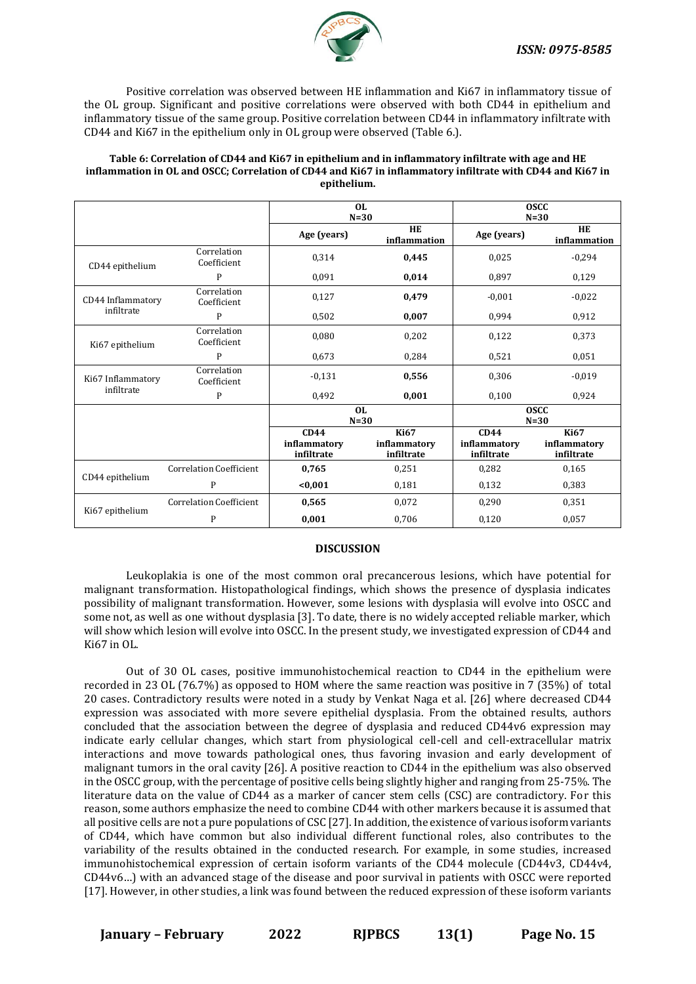

 Positive correlation was observed between HE inflammation and Ki67 in inflammatory tissue of the OL group. Significant and positive correlations were observed with both CD44 in epithelium and inflammatory tissue of the same group. Positive correlation between CD44 in inflammatory infiltrate with CD44 and Ki67 in the epithelium only in OL group were observed (Table 6.).

#### **Table 6: Correlation of CD44 and Ki67 in epithelium and in inflammatory infiltrate with age and HE inflammation in OL and OSCC; Correlation of CD44 and Ki67 in inflammatory infiltrate with CD44 and Ki67 in epithelium.**

|                   |                                | OL.<br>$N=30$                      |                                           | <b>OSCC</b><br>$N=30$              |                                           |  |  |
|-------------------|--------------------------------|------------------------------------|-------------------------------------------|------------------------------------|-------------------------------------------|--|--|
|                   |                                | Age (years)                        | HE<br>inflammation                        | Age (years)                        | HE<br>inflammation                        |  |  |
| CD44 epithelium   | Correlation<br>Coefficient     | 0,314                              | 0,445                                     | 0.025                              | $-0,294$                                  |  |  |
|                   | P                              | 0,091                              | 0,014                                     | 0,897                              | 0,129                                     |  |  |
| CD44 Inflammatory | Correlation<br>Coefficient     | 0,127                              | 0,479                                     | $-0,001$                           | $-0,022$                                  |  |  |
| infiltrate        | P                              | 0,502                              | 0,007                                     | 0,994                              | 0,912                                     |  |  |
| Ki67 epithelium   | Correlation<br>Coefficient     | 0,080                              | 0,202                                     | 0,122                              | 0,373                                     |  |  |
|                   | P                              | 0,673                              | 0,284                                     | 0,521                              | 0,051                                     |  |  |
| Ki67 Inflammatory | Correlation<br>Coefficient     | $-0,131$                           | 0,556                                     | 0,306                              | $-0.019$                                  |  |  |
| infiltrate        | P                              | 0,492                              | 0,001                                     | 0,100                              | 0,924                                     |  |  |
|                   |                                | OL.<br>$N=30$                      |                                           | <b>OSCC</b><br>$N=30$              |                                           |  |  |
|                   |                                | CD44<br>inflammatory<br>infiltrate | <b>Ki67</b><br>inflammatory<br>infiltrate | CD44<br>inflammatory<br>infiltrate | <b>Ki67</b><br>inflammatory<br>infiltrate |  |  |
|                   | <b>Correlation Coefficient</b> | 0,765                              | 0,251                                     | 0,282                              | 0,165                                     |  |  |
| CD44 epithelium   | P                              | < 0,001                            | 0,181                                     | 0,132                              | 0,383                                     |  |  |
|                   | <b>Correlation Coefficient</b> | 0,565                              | 0,072                                     | 0,290                              | 0,351                                     |  |  |
| Ki67 epithelium   | P                              | 0,001                              | 0,706                                     | 0,120                              | 0,057                                     |  |  |

### **DISCUSSION**

Leukoplakia is one of the most common oral precancerous lesions, which have potential for malignant transformation. Histopathological findings, which shows the presence of dysplasia indicates possibility of malignant transformation. However, some lesions with dysplasia will evolve into OSCC and some not, as well as one without dysplasia [3]. To date, there is no widely accepted reliable marker, which will show which lesion will evolve into OSCC. In the present study, we investigated expression of CD44 and Ki67 in OL.

Out of 30 OL cases, positive immunohistochemical reaction to CD44 in the epithelium were recorded in 23 OL (76.7%) as opposed to HOM where the same reaction was positive in 7 (35%) of total 20 cases. Contradictory results were noted in a study by Venkat Naga et al. [26] where decreased CD44 expression was associated with more severe epithelial dysplasia. From the obtained results, authors concluded that the association between the degree of dysplasia and reduced CD44v6 expression may indicate early cellular changes, which start from physiological cell-cell and cell-extracellular matrix interactions and move towards pathological ones, thus favoring invasion and early development of malignant tumors in the oral cavity [26]. A positive reaction to CD44 in the epithelium was also observed in the OSCC group, with the percentage of positive cells being slightly higher and ranging from 25-75%. The literature data on the value of CD44 as a marker of cancer stem cells (CSC) are contradictory. For this reason, some authors emphasize the need to combine CD44 with other markers because it is assumed that all positive cells are not a pure populations of CSC [27]. In addition, the existence of various isoform variants of CD44, which have common but also individual different functional roles, also contributes to the variability of the results obtained in the conducted research. For example, in some studies, increased immunohistochemical expression of certain isoform variants of the CD44 molecule (CD44v3, CD44v4, CD44v6…) with an advanced stage of the disease and poor survival in patients with OSCC were reported [17]. However, in other studies, a link was found between the reduced expression of these isoform variants

**January – February 2022 RJPBCS 13(1) Page No. 15**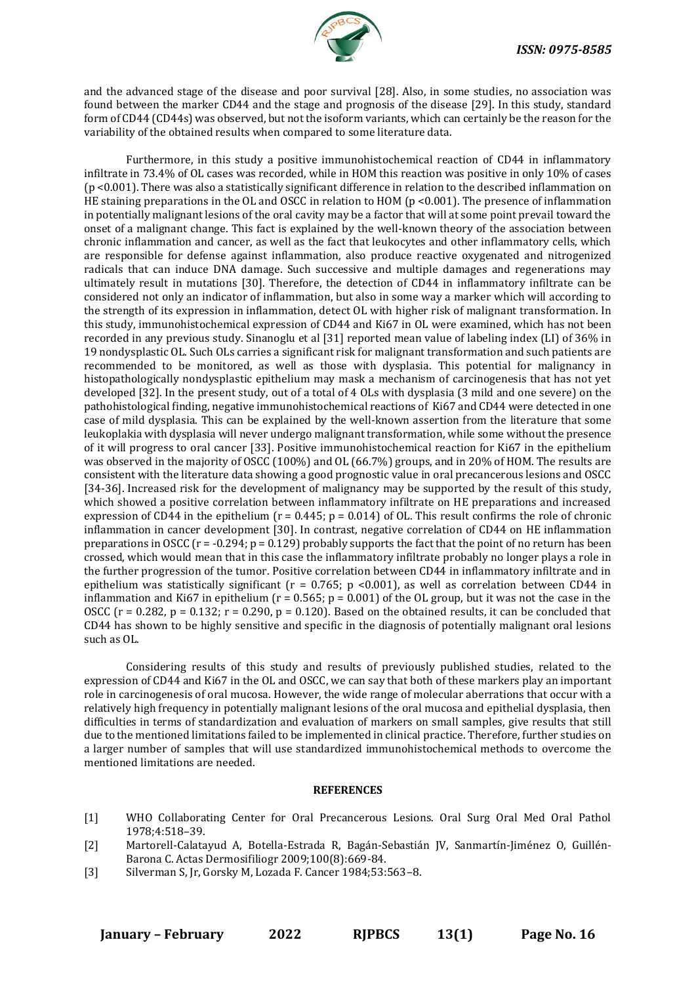and the advanced stage of the disease and poor survival [28]. Also, in some studies, no association was found between the marker CD44 and the stage and prognosis of the disease [29]. In this study, standard form of CD44 (CD44s) was observed, but not the isoform variants, which can certainly be the reason for the variability of the obtained results when compared to some literature data.

Furthermore, in this study a positive immunohistochemical reaction of CD44 in inflammatory infiltrate in 73.4% of OL cases was recorded, while in HOM this reaction was positive in only 10% of cases (p <0.001). There was also a statistically significant difference in relation to the described inflammation on HE staining preparations in the OL and OSCC in relation to HOM (p <0.001). The presence of inflammation in potentially malignant lesions of the oral cavity may be a factor that will at some point prevail toward the onset of a malignant change. This fact is explained by the well-known theory of the association between chronic inflammation and cancer, as well as the fact that leukocytes and other inflammatory cells, which are responsible for defense against inflammation, also produce reactive oxygenated and nitrogenized radicals that can induce DNA damage. Such successive and multiple damages and regenerations may ultimately result in mutations [30]. Therefore, the detection of CD44 in inflammatory infiltrate can be considered not only an indicator of inflammation, but also in some way a marker which will according to the strength of its expression in inflammation, detect OL with higher risk of malignant transformation. In this study, immunohistochemical expression of CD44 and Ki67 in OL were examined, which has not been recorded in any previous study. Sinanoglu et al [31] reported mean value of labeling index (LI) of 36% in 19 nondysplastic OL. Such OLs carries a significant risk for malignant transformation and such patients are recommended to be monitored, as well as those with dysplasia. This potential for malignancy in histopathologically nondysplastic epithelium may mask a mechanism of carcinogenesis that has not yet developed [32]. In the present study, out of a total of 4 OLs with dysplasia (3 mild and one severe) on the pathohistological finding, negative immunohistochemical reactions of Ki67 and CD44 were detected in one case of mild dysplasia. This can be explained by the well-known assertion from the literature that some leukoplakia with dysplasia will never undergo malignant transformation, while some without the presence of it will progress to oral cancer [33]. Positive immunohistochemical reaction for Ki67 in the epithelium was observed in the majority of OSCC (100%) and OL (66.7%) groups, and in 20% of HOM. The results are consistent with the literature data showing a good prognostic value in oral precancerous lesions and OSCC [34-36]. Increased risk for the development of malignancy may be supported by the result of this study, which showed a positive correlation between inflammatory infiltrate on HE preparations and increased expression of CD44 in the epithelium ( $r = 0.445$ ;  $p = 0.014$ ) of OL. This result confirms the role of chronic inflammation in cancer development [30]. In contrast, negative correlation of CD44 on HE inflammation preparations in OSCC ( $r = -0.294$ ;  $p = 0.129$ ) probably supports the fact that the point of no return has been crossed, which would mean that in this case the inflammatory infiltrate probably no longer plays a role in the further progression of the tumor. Positive correlation between CD44 in inflammatory infiltrate and in epithelium was statistically significant ( $r = 0.765$ ;  $p < 0.001$ ), as well as correlation between CD44 in inflammation and Ki67 in epithelium ( $r = 0.565$ ;  $p = 0.001$ ) of the OL group, but it was not the case in the OSCC ( $r = 0.282$ ,  $p = 0.132$ ;  $r = 0.290$ ,  $p = 0.120$ ). Based on the obtained results, it can be concluded that CD44 has shown to be highly sensitive and specific in the diagnosis of potentially malignant oral lesions such as OL.

Considering results of this study and results of previously published studies, related to the expression of CD44 and Ki67 in the OL and OSCC, we can say that both of these markers play an important role in carcinogenesis of oral mucosa. However, the wide range of molecular aberrations that occur with a relatively high frequency in potentially malignant lesions of the oral mucosa and epithelial dysplasia, then difficulties in terms of standardization and evaluation of markers on small samples, give results that still due to the mentioned limitations failed to be implemented in clinical practice. Therefore, further studies on a larger number of samples that will use standardized immunohistochemical methods to overcome the mentioned limitations are needed.

## **REFERENCES**

- [1] WHO Collaborating Center for Oral Precancerous Lesions. Oral Surg Oral Med Oral Pathol 1978;4:518–39.
- [2] Martorell-Calatayud A, Botella-Estrada R, Bagán-Sebastián JV, Sanmartín-Jiménez O, Guillén-Barona C. Actas Dermosifiliogr 2009;100(8):669-84.
- [3] Silverman S, Jr, Gorsky M, Lozada F. Cancer 1984;53:563–8.